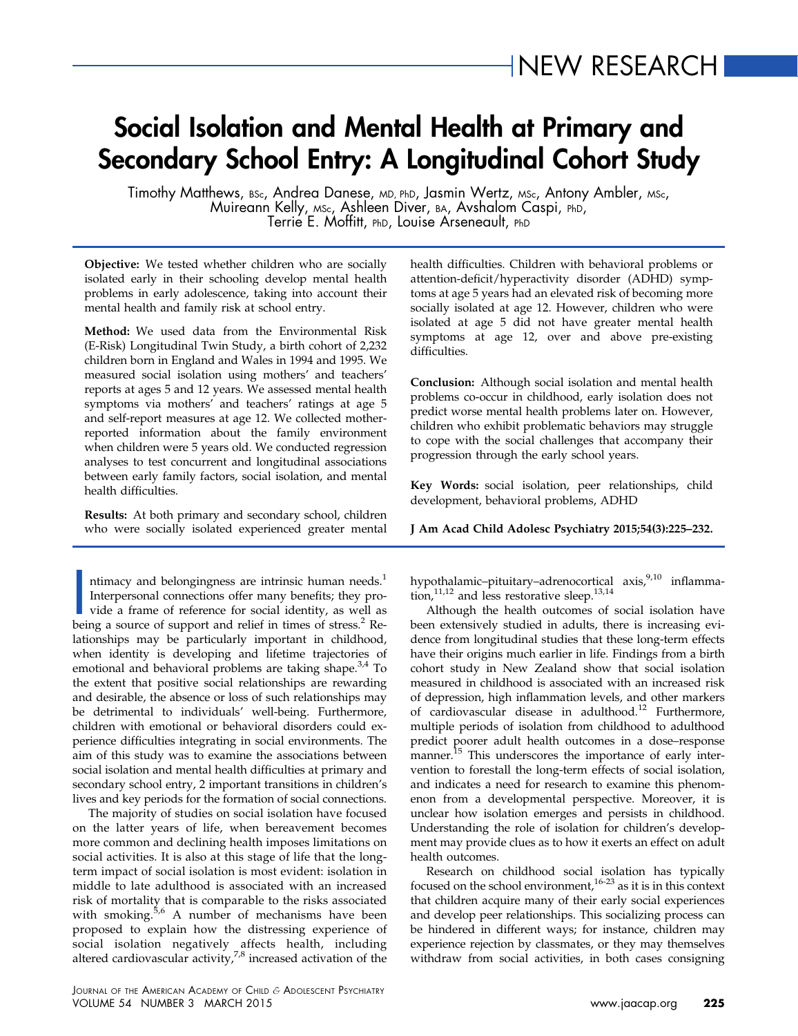# NEW RESEARCH

# Social Isolation and Mental Health at Primary and Secondary School Entry: A Longitudinal Cohort Study

Timothy Matthews, BSc, Andrea Danese, MD, PhD, Jasmin Wertz, MSc, Antony Ambler, MSc, Muireann Kelly, MSc, Ashleen Diver, BA, Avshalom Caspi, PhD, Terrie E. Moffitt, PhD, Louise Arseneault, PhD

Objective: We tested whether children who are socially isolated early in their schooling develop mental health problems in early adolescence, taking into account their mental health and family risk at school entry.

Method: We used data from the Environmental Risk (E-Risk) Longitudinal Twin Study, a birth cohort of 2,232 children born in England and Wales in 1994 and 1995. We measured social isolation using mothers' and teachers' reports at ages 5 and 12 years. We assessed mental health symptoms via mothers' and teachers' ratings at age 5 and self-report measures at age 12. We collected motherreported information about the family environment when children were 5 years old. We conducted regression analyses to test concurrent and longitudinal associations between early family factors, social isolation, and mental health difficulties.

Results: At both primary and secondary school, children who were socially isolated experienced greater mental

ntimacy and belongingness are intrinsic human needs.<sup>1</sup><br>Interpersonal connections offer many benefits; they pro-<br>vide a frame of reference for social identity, as well as<br>being a source of support and relief in times of st ntimacy and belongingness are intrinsic human needs.<sup>1</sup> Interpersonal connections offer many benefits; they provide a frame of reference for social identity, as well as lationships may be particularly important in childhood, when identity is developing and lifetime trajectories of emotional and behavioral problems are taking shape.<sup>[3,4](#page-6-0)</sup> To the extent that positive social relationships are rewarding and desirable, the absence or loss of such relationships may be detrimental to individuals' well-being. Furthermore, children with emotional or behavioral disorders could experience difficulties integrating in social environments. The aim of this study was to examine the associations between social isolation and mental health difficulties at primary and secondary school entry, 2 important transitions in children's lives and key periods for the formation of social connections.

The majority of studies on social isolation have focused on the latter years of life, when bereavement becomes more common and declining health imposes limitations on social activities. It is also at this stage of life that the longterm impact of social isolation is most evident: isolation in middle to late adulthood is associated with an increased risk of mortality that is comparable to the risks associated with smoking. $5.6$  A number of mechanisms have been proposed to explain how the distressing experience of social isolation negatively affects health, including altered cardiovascular activity, $7,8$  increased activation of the

health difficulties. Children with behavioral problems or attention-deficit/hyperactivity disorder (ADHD) symptoms at age 5 years had an elevated risk of becoming more socially isolated at age 12. However, children who were isolated at age 5 did not have greater mental health symptoms at age 12, over and above pre-existing difficulties.

Conclusion: Although social isolation and mental health problems co-occur in childhood, early isolation does not predict worse mental health problems later on. However, children who exhibit problematic behaviors may struggle to cope with the social challenges that accompany their progression through the early school years.

Key Words: social isolation, peer relationships, child development, behavioral problems, ADHD

J Am Acad Child Adolesc Psychiatry 2015;54(3):225–232.

hypothalamic–pituitary–adrenocortical axis,<sup>[9,10](#page-6-0)</sup> inflammation, $^{11,12}$  $^{11,12}$  $^{11,12}$  and less restorative sleep. $^{13,14}$  $^{13,14}$  $^{13,14}$ 

Although the health outcomes of social isolation have been extensively studied in adults, there is increasing evidence from longitudinal studies that these long-term effects have their origins much earlier in life. Findings from a birth cohort study in New Zealand show that social isolation measured in childhood is associated with an increased risk of depression, high inflammation levels, and other markers of cardiovascular disease in adulthood.[12](#page-6-0) Furthermore, multiple periods of isolation from childhood to adulthood predict poorer adult health outcomes in a dose–response manner.<sup>[15](#page-6-0)</sup> This underscores the importance of early intervention to forestall the long-term effects of social isolation, and indicates a need for research to examine this phenomenon from a developmental perspective. Moreover, it is unclear how isolation emerges and persists in childhood. Understanding the role of isolation for children's development may provide clues as to how it exerts an effect on adult health outcomes.

Research on childhood social isolation has typically focused on the school environment, $16-23$  as it is in this context that children acquire many of their early social experiences and develop peer relationships. This socializing process can be hindered in different ways; for instance, children may experience rejection by classmates, or they may themselves withdraw from social activities, in both cases consigning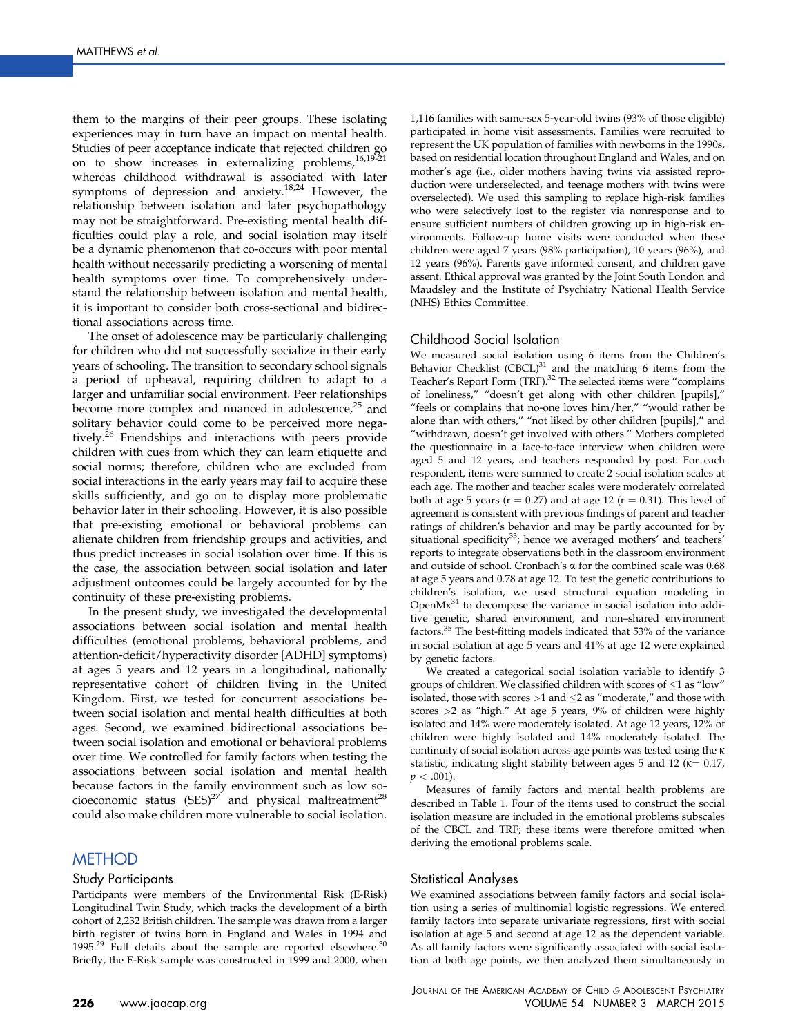them to the margins of their peer groups. These isolating experiences may in turn have an impact on mental health. Studies of peer acceptance indicate that rejected children go on to show increases in externalizing problems, <sup>[16,19-21](#page-6-0)</sup> whereas childhood withdrawal is associated with later symptoms of depression and anxiety.<sup>[18,24](#page-6-0)</sup> However, the relationship between isolation and later psychopathology may not be straightforward. Pre-existing mental health difficulties could play a role, and social isolation may itself be a dynamic phenomenon that co-occurs with poor mental health without necessarily predicting a worsening of mental health symptoms over time. To comprehensively understand the relationship between isolation and mental health, it is important to consider both cross-sectional and bidirectional associations across time.

The onset of adolescence may be particularly challenging for children who did not successfully socialize in their early years of schooling. The transition to secondary school signals a period of upheaval, requiring children to adapt to a larger and unfamiliar social environment. Peer relationships become more complex and nuanced in adolescence, $25$  and solitary behavior could come to be perceived more nega-tively.<sup>[26](#page-7-0)</sup> Friendships and interactions with peers provide children with cues from which they can learn etiquette and social norms; therefore, children who are excluded from social interactions in the early years may fail to acquire these skills sufficiently, and go on to display more problematic behavior later in their schooling. However, it is also possible that pre-existing emotional or behavioral problems can alienate children from friendship groups and activities, and thus predict increases in social isolation over time. If this is the case, the association between social isolation and later adjustment outcomes could be largely accounted for by the continuity of these pre-existing problems.

In the present study, we investigated the developmental associations between social isolation and mental health difficulties (emotional problems, behavioral problems, and attention-deficit/hyperactivity disorder [ADHD] symptoms) at ages 5 years and 12 years in a longitudinal, nationally representative cohort of children living in the United Kingdom. First, we tested for concurrent associations between social isolation and mental health difficulties at both ages. Second, we examined bidirectional associations between social isolation and emotional or behavioral problems over time. We controlled for family factors when testing the associations between social isolation and mental health because factors in the family environment such as low socioeconomic status  $(SES)^{27'}$  $(SES)^{27'}$  $(SES)^{27'}$  and physical maltreatment<sup>[28](#page-7-0)</sup> could also make children more vulnerable to social isolation.

### **METHOD**

#### Study Participants

Participants were members of the Environmental Risk (E-Risk) Longitudinal Twin Study, which tracks the development of a birth cohort of 2,232 British children. The sample was drawn from a larger birth register of twins born in England and Wales in 1994 and 1995.<sup>[29](#page-7-0)</sup> Full details about the sample are reported elsewhere.<sup>[30](#page-7-0)</sup> Briefly, the E-Risk sample was constructed in 1999 and 2000, when 1,116 families with same-sex 5-year-old twins (93% of those eligible) participated in home visit assessments. Families were recruited to represent the UK population of families with newborns in the 1990s, based on residential location throughout England and Wales, and on mother's age (i.e., older mothers having twins via assisted reproduction were underselected, and teenage mothers with twins were overselected). We used this sampling to replace high-risk families who were selectively lost to the register via nonresponse and to ensure sufficient numbers of children growing up in high-risk environments. Follow-up home visits were conducted when these children were aged 7 years (98% participation), 10 years (96%), and 12 years (96%). Parents gave informed consent, and children gave assent. Ethical approval was granted by the Joint South London and Maudsley and the Institute of Psychiatry National Health Service (NHS) Ethics Committee.

#### Childhood Social Isolation

We measured social isolation using 6 items from the Children's Behavior Checklist  $(CBCL)^{31}$  $(CBCL)^{31}$  $(CBCL)^{31}$  and the matching 6 items from the Teacher's Report Form (TRF).<sup>32</sup> The selected items were "complains of loneliness," "doesn't get along with other children [pupils]," "feels or complains that no-one loves him/her," "would rather be alone than with others," "not liked by other children [pupils]," and "withdrawn, doesn't get involved with others." Mothers completed the questionnaire in a face-to-face interview when children were aged 5 and 12 years, and teachers responded by post. For each respondent, items were summed to create 2 social isolation scales at each age. The mother and teacher scales were moderately correlated both at age 5 years ( $r = 0.27$ ) and at age 12 ( $r = 0.31$ ). This level of agreement is consistent with previous findings of parent and teacher ratings of children's behavior and may be partly accounted for by situational specificity $33$ ; hence we averaged mothers' and teachers' reports to integrate observations both in the classroom environment and outside of school. Cronbach's  $\alpha$  for the combined scale was 0.68 at age 5 years and 0.78 at age 12. To test the genetic contributions to children's isolation, we used structural equation modeling in  $OpenMx<sup>34</sup>$  to decompose the variance in social isolation into additive genetic, shared environment, and non–shared environment factors.[35](#page-7-0) The best-fitting models indicated that 53% of the variance in social isolation at age 5 years and 41% at age 12 were explained by genetic factors.

We created a categorical social isolation variable to identify 3 groups of children. We classified children with scores of  $\leq\!\!1$  as "low" isolated, those with scores  $>$ 1 and  $\leq$ 2 as "moderate," and those with scores >2 as "high." At age 5 years, 9% of children were highly isolated and 14% were moderately isolated. At age 12 years, 12% of children were highly isolated and 14% moderately isolated. The continuity of social isolation across age points was tested using the k statistic, indicating slight stability between ages 5 and 12 ( $\kappa$  = 0.17,  $p < .001$ ).

Measures of family factors and mental health problems are described in [Table 1](#page-2-0). Four of the items used to construct the social isolation measure are included in the emotional problems subscales of the CBCL and TRF; these items were therefore omitted when deriving the emotional problems scale.

#### Statistical Analyses

We examined associations between family factors and social isolation using a series of multinomial logistic regressions. We entered family factors into separate univariate regressions, first with social isolation at age 5 and second at age 12 as the dependent variable. As all family factors were significantly associated with social isolation at both age points, we then analyzed them simultaneously in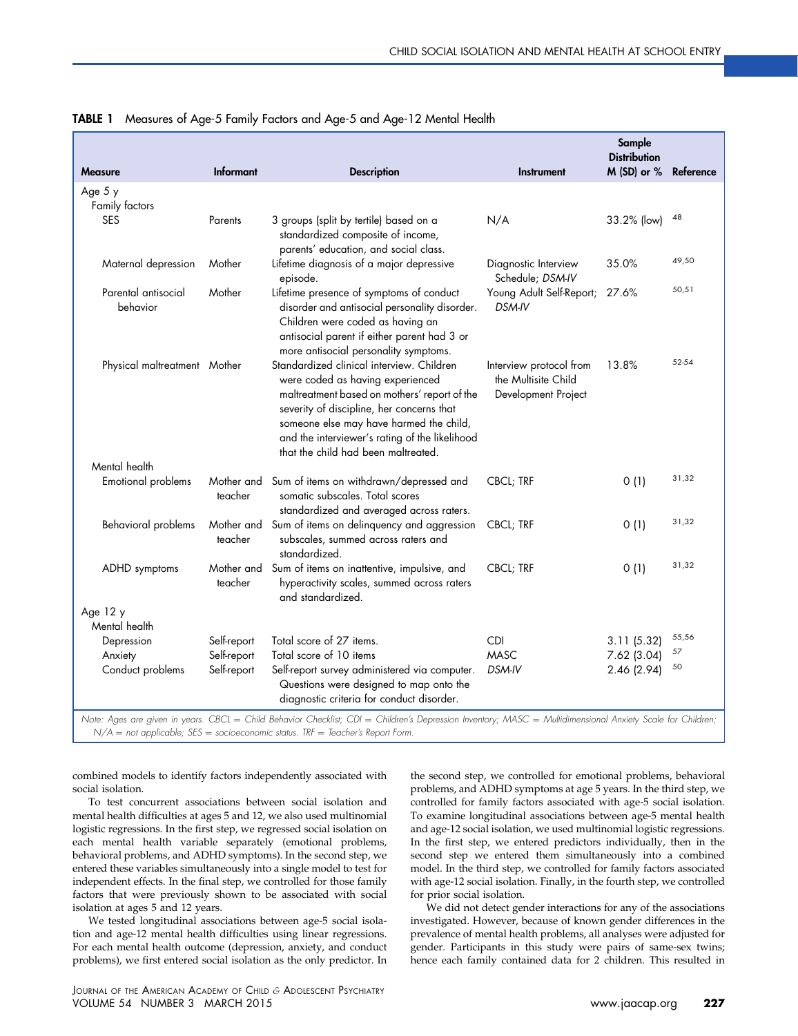| <b>Measure</b>                  | <b>Informant</b> | <b>Description</b>                                                                                                                                                                                                                                                                                             | <b>Instrument</b>                                                     | Sample<br><b>Distribution</b><br>$M$ (SD) or % | Reference |
|---------------------------------|------------------|----------------------------------------------------------------------------------------------------------------------------------------------------------------------------------------------------------------------------------------------------------------------------------------------------------------|-----------------------------------------------------------------------|------------------------------------------------|-----------|
| Age 5 y                         |                  |                                                                                                                                                                                                                                                                                                                |                                                                       |                                                |           |
| <b>Family factors</b>           |                  |                                                                                                                                                                                                                                                                                                                |                                                                       |                                                | 48        |
| <b>SES</b>                      | Parents          | 3 groups (split by tertile) based on a<br>standardized composite of income,<br>parents' education, and social class.                                                                                                                                                                                           | N/A                                                                   | 33.2% (low)                                    |           |
| Maternal depression             | Mother           | Lifetime diagnosis of a major depressive<br>episode.                                                                                                                                                                                                                                                           | Diagnostic Interview<br>Schedule; DSM-IV                              | 35.0%                                          | 49,50     |
| Parental antisocial<br>behavior | Mother           | Lifetime presence of symptoms of conduct<br>disorder and antisocial personality disorder.<br>Children were coded as having an<br>antisocial parent if either parent had 3 or<br>more antisocial personality symptoms.                                                                                          | Young Adult Self-Report;<br><b>DSM-IV</b>                             | 27.6%                                          | 50,51     |
| Physical maltreatment Mother    |                  | Standardized clinical interview. Children<br>were coded as having experienced<br>maltreatment based on mothers' report of the<br>severity of discipline, her concerns that<br>someone else may have harmed the child,<br>and the interviewer's rating of the likelihood<br>that the child had been maltreated. | Interview protocol from<br>the Multisite Child<br>Development Project | 13.8%                                          | 52-54     |
| Mental health                   |                  |                                                                                                                                                                                                                                                                                                                |                                                                       |                                                |           |
| Emotional problems              | teacher          | Mother and Sum of items on withdrawn/depressed and<br>somatic subscales. Total scores<br>standardized and averaged across raters.                                                                                                                                                                              | CBCL; TRF                                                             | 0(1)                                           | 31,32     |
| Behavioral problems             | teacher          | Mother and Sum of items on delinquency and aggression<br>subscales, summed across raters and<br>standardized.                                                                                                                                                                                                  | CBCL; TRF                                                             | 0(1)                                           | 31,32     |
| ADHD symptoms                   | teacher          | Mother and Sum of items on inattentive, impulsive, and<br>hyperactivity scales, summed across raters<br>and standardized.                                                                                                                                                                                      | CBCL; TRF                                                             | 0(1)                                           | 31,32     |
| Age 12 y                        |                  |                                                                                                                                                                                                                                                                                                                |                                                                       |                                                |           |
| Mental health                   |                  |                                                                                                                                                                                                                                                                                                                |                                                                       |                                                | 55,56     |
| Depression                      | Self-report      | Total score of 27 items.                                                                                                                                                                                                                                                                                       | <b>CDI</b>                                                            | 3.11(5.32)                                     | 57        |
| Anxiety                         | Self-report      | Total score of 10 items                                                                                                                                                                                                                                                                                        | <b>MASC</b>                                                           | 7.62 (3.04)                                    | 50        |
| Conduct problems                | Self-report      | Self-report survey administered via computer.<br>Questions were designed to map onto the<br>diagnostic criteria for conduct disorder.                                                                                                                                                                          | DSM-IV                                                                | 2.46 (2.94)                                    |           |
|                                 |                  | Note: Ages are given in years. CBCL = Child Behavior Checklist; CDI = Children's Depression Inventory; MASC = Multidimensional Anxiety Scale for Children;<br>$N/A$ = not applicable: SES = socioeconomic status. TRE = Teacher's Report Form.                                                                 |                                                                       |                                                |           |

<span id="page-2-0"></span>

|  |  | <b>TABLE 1</b> Measures of Age-5 Family Factors and Age-5 and Age-12 Mental Health |  |
|--|--|------------------------------------------------------------------------------------|--|
|  |  |                                                                                    |  |

combined models to identify factors independently associated with social isolation.

To test concurrent associations between social isolation and mental health difficulties at ages 5 and 12, we also used multinomial logistic regressions. In the first step, we regressed social isolation on each mental health variable separately (emotional problems, behavioral problems, and ADHD symptoms). In the second step, we entered these variables simultaneously into a single model to test for independent effects. In the final step, we controlled for those family factors that were previously shown to be associated with social isolation at ages 5 and 12 years.

We tested longitudinal associations between age-5 social isolation and age-12 mental health difficulties using linear regressions. For each mental health outcome (depression, anxiety, and conduct problems), we first entered social isolation as the only predictor. In the second step, we controlled for emotional problems, behavioral problems, and ADHD symptoms at age 5 years. In the third step, we controlled for family factors associated with age-5 social isolation. To examine longitudinal associations between age-5 mental health and age-12 social isolation, we used multinomial logistic regressions. In the first step, we entered predictors individually, then in the second step we entered them simultaneously into a combined model. In the third step, we controlled for family factors associated with age-12 social isolation. Finally, in the fourth step, we controlled for prior social isolation.

We did not detect gender interactions for any of the associations investigated. However, because of known gender differences in the prevalence of mental health problems, all analyses were adjusted for gender. Participants in this study were pairs of same-sex twins; hence each family contained data for 2 children. This resulted in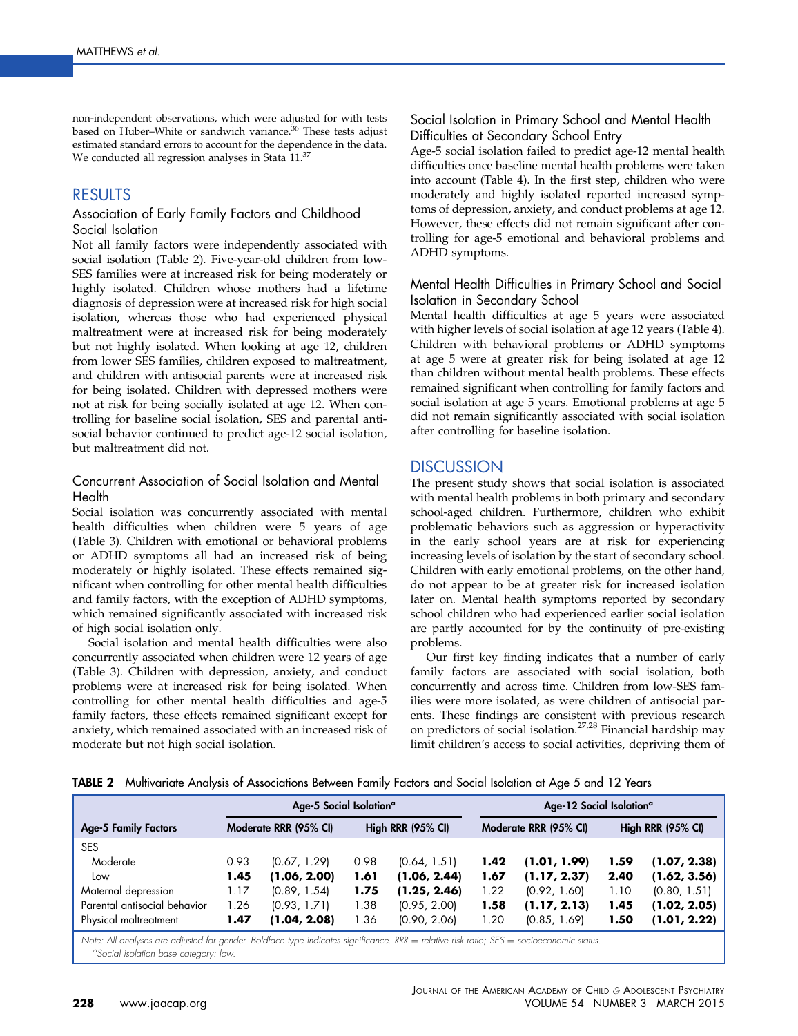non-independent observations, which were adjusted for with tests based on Huber–White or sandwich variance.<sup>36</sup> These tests adjust estimated standard errors to account for the dependence in the data. We conducted all regression analyses in Stata  $11<sup>3</sup>$ 

## RESULTS

## Association of Early Family Factors and Childhood Social Isolation

Not all family factors were independently associated with social isolation (Table 2). Five-year-old children from low-SES families were at increased risk for being moderately or highly isolated. Children whose mothers had a lifetime diagnosis of depression were at increased risk for high social isolation, whereas those who had experienced physical maltreatment were at increased risk for being moderately but not highly isolated. When looking at age 12, children from lower SES families, children exposed to maltreatment, and children with antisocial parents were at increased risk for being isolated. Children with depressed mothers were not at risk for being socially isolated at age 12. When controlling for baseline social isolation, SES and parental antisocial behavior continued to predict age-12 social isolation, but maltreatment did not.

## Concurrent Association of Social Isolation and Mental Health

Social isolation was concurrently associated with mental health difficulties when children were 5 years of age ([Table 3](#page-4-0)). Children with emotional or behavioral problems or ADHD symptoms all had an increased risk of being moderately or highly isolated. These effects remained significant when controlling for other mental health difficulties and family factors, with the exception of ADHD symptoms, which remained significantly associated with increased risk of high social isolation only.

Social isolation and mental health difficulties were also concurrently associated when children were 12 years of age ([Table 3\)](#page-4-0). Children with depression, anxiety, and conduct problems were at increased risk for being isolated. When controlling for other mental health difficulties and age-5 family factors, these effects remained significant except for anxiety, which remained associated with an increased risk of moderate but not high social isolation.

## Social Isolation in Primary School and Mental Health Difficulties at Secondary School Entry

Age-5 social isolation failed to predict age-12 mental health difficulties once baseline mental health problems were taken into account [\(Table 4\)](#page-5-0). In the first step, children who were moderately and highly isolated reported increased symptoms of depression, anxiety, and conduct problems at age 12. However, these effects did not remain significant after controlling for age-5 emotional and behavioral problems and ADHD symptoms.

## Mental Health Difficulties in Primary School and Social Isolation in Secondary School

Mental health difficulties at age 5 years were associated with higher levels of social isolation at age 12 years ([Table 4\)](#page-5-0). Children with behavioral problems or ADHD symptoms at age 5 were at greater risk for being isolated at age 12 than children without mental health problems. These effects remained significant when controlling for family factors and social isolation at age 5 years. Emotional problems at age 5 did not remain significantly associated with social isolation after controlling for baseline isolation.

## **DISCUSSION**

The present study shows that social isolation is associated with mental health problems in both primary and secondary school-aged children. Furthermore, children who exhibit problematic behaviors such as aggression or hyperactivity in the early school years are at risk for experiencing increasing levels of isolation by the start of secondary school. Children with early emotional problems, on the other hand, do not appear to be at greater risk for increased isolation later on. Mental health symptoms reported by secondary school children who had experienced earlier social isolation are partly accounted for by the continuity of pre-existing problems.

Our first key finding indicates that a number of early family factors are associated with social isolation, both concurrently and across time. Children from low-SES families were more isolated, as were children of antisocial parents. These findings are consistent with previous research on predictors of social isolation.<sup>[27,28](#page-7-0)</sup> Financial hardship may limit children's access to social activities, depriving them of

|  |  |  | TABLE 2 Multivariate Analysis of Associations Between Family Factors and Social Isolation at Age 5 and 12 Years |  |  |  |  |  |  |  |  |  |
|--|--|--|-----------------------------------------------------------------------------------------------------------------|--|--|--|--|--|--|--|--|--|
|--|--|--|-----------------------------------------------------------------------------------------------------------------|--|--|--|--|--|--|--|--|--|

|                                       |                                                                                                                                          | Age-5 Social Isolation <sup>a</sup> |                   | Age-12 Social Isolation <sup>a</sup> |                       |              |                   |              |  |
|---------------------------------------|------------------------------------------------------------------------------------------------------------------------------------------|-------------------------------------|-------------------|--------------------------------------|-----------------------|--------------|-------------------|--------------|--|
| <b>Age-5 Family Factors</b>           | Moderate RRR (95% CI)                                                                                                                    |                                     | High RRR (95% CI) |                                      | Moderate RRR (95% CI) |              | High RRR (95% CI) |              |  |
| <b>SES</b>                            |                                                                                                                                          |                                     |                   |                                      |                       |              |                   |              |  |
| Moderate                              | 0.93                                                                                                                                     | (0.67, 1.29)                        | 0.98              | (0.64, 1.51)                         | 1.42                  | (1.01, 1.99) | 1.59              | (1.07, 2.38) |  |
| Low                                   | 1.45                                                                                                                                     | (1.06, 2.00)                        | 1.61              | (1.06, 2.44)                         | 1.67                  | (1.17, 2.37) | 2.40              | (1.62, 3.56) |  |
| Maternal depression                   | 1.17                                                                                                                                     | (0.89, 1.54)                        | 1.75              | (1.25, 2.46)                         | 1.22                  | (0.92, 1.60) | 1.10              | (0.80, 1.51) |  |
| Parental antisocial behavior          | 1.26                                                                                                                                     | (0.93, 1.71)                        | 1.38              | (0.95, 2.00)                         | 1.58                  | (1.17, 2.13) | 1.45              | (1.02, 2.05) |  |
| Physical maltreatment                 | 1.47                                                                                                                                     | (1.04, 2.08)                        | 1.36              | (0.90, 2.06)                         | 1.20                  | (0.85, 1.69) | 1.50              | (1.01, 2.22) |  |
|                                       | Note: All analyses are adjusted for gender. Boldface type indicates significance. RRR = relative risk ratio; SES = socioeconomic status. |                                     |                   |                                      |                       |              |                   |              |  |
| "Social isolation base category: low. |                                                                                                                                          |                                     |                   |                                      |                       |              |                   |              |  |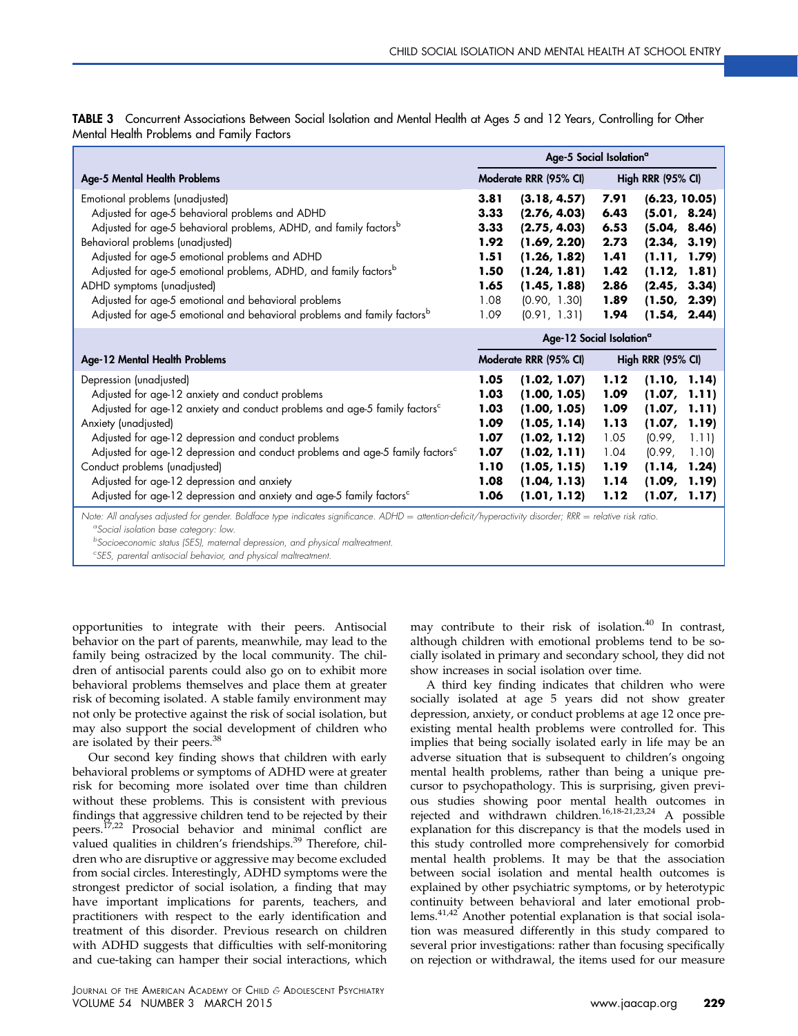|                                                                                                                                                                                                                                                                                                                                                                                                                                                                                                                                                                                                                                                                                   | Age-5 Social Isolation <sup>a</sup>                                  |                                                                                                                                              |                                                                      |                                                                                                                                               |               |  |  |
|-----------------------------------------------------------------------------------------------------------------------------------------------------------------------------------------------------------------------------------------------------------------------------------------------------------------------------------------------------------------------------------------------------------------------------------------------------------------------------------------------------------------------------------------------------------------------------------------------------------------------------------------------------------------------------------|----------------------------------------------------------------------|----------------------------------------------------------------------------------------------------------------------------------------------|----------------------------------------------------------------------|-----------------------------------------------------------------------------------------------------------------------------------------------|---------------|--|--|
| <b>Age-5 Mental Health Problems</b>                                                                                                                                                                                                                                                                                                                                                                                                                                                                                                                                                                                                                                               |                                                                      | High RRR (95% CI)<br>Moderate RRR (95% CI)                                                                                                   |                                                                      |                                                                                                                                               |               |  |  |
| Emotional problems (unadjusted)<br>Adjusted for age-5 behavioral problems and ADHD<br>Adjusted for age-5 behavioral problems, ADHD, and family factors <sup>b</sup><br>Behavioral problems (unadjusted)<br>Adjusted for age-5 emotional problems and ADHD<br>Adjusted for age-5 emotional problems, ADHD, and family factors <sup>b</sup><br>ADHD symptoms (unadjusted)<br>Adjusted for age-5 emotional and behavioral problems<br>Adjusted for age-5 emotional and behavioral problems and family factors <sup>b</sup>                                                                                                                                                           | 3.81<br>3.33<br>3.33<br>1.92<br>1.51<br>1.50<br>1.65<br>1.08<br>1.09 | (3.18, 4.57)<br>(2.76, 4.03)<br>(2.75, 4.03)<br>(1.69, 2.20)<br>(1.26, 1.82)<br>(1.24, 1.81)<br>(1.45, 1.88)<br>(0.90, 1.30)<br>(0.91, 1.31) | 7.91<br>6.43<br>6.53<br>2.73<br>1.41<br>1.42<br>2.86<br>1.89<br>1.94 | (6.23, 10.05)<br>(5.01, 8.24)<br>(5.04, 8.46)<br>(2.34, 3.19)<br>(1.11, 1.79)<br>(1.12, 1.81)<br>(2.45, 3.34)<br>(1.50, 2.39)<br>(1.54, 2.44) |               |  |  |
|                                                                                                                                                                                                                                                                                                                                                                                                                                                                                                                                                                                                                                                                                   | Age-12 Social Isolation <sup>a</sup>                                 |                                                                                                                                              |                                                                      |                                                                                                                                               |               |  |  |
| Age-12 Mental Health Problems                                                                                                                                                                                                                                                                                                                                                                                                                                                                                                                                                                                                                                                     |                                                                      | Moderate RRR (95% CI)                                                                                                                        |                                                                      | High RRR (95% CI)                                                                                                                             |               |  |  |
| Depression (unadjusted)<br>Adjusted for age-12 anxiety and conduct problems<br>Adjusted for age-12 anxiety and conduct problems and age-5 family factors <sup>c</sup><br>Anxiety (unadjusted)<br>Adjusted for age-12 depression and conduct problems<br>Adjusted for age-12 depression and conduct problems and age-5 family factors <sup>c</sup><br>Conduct problems (unadjusted)<br>Adjusted for age-12 depression and anxiety<br>Adjusted for age-12 depression and anxiety and age-5 family factors <sup>c</sup><br>Note: All analyses adjusted for gender Boldfase time indicates significance $ADHD =$ attention-deficit (hymeractivity disorder: PPP = relative risk ratio | 1.05<br>1.03<br>1.03<br>1.09<br>1.07<br>1.07<br>1.10<br>1.08<br>1.06 | (1.02, 1.07)<br>(1.00, 1.05)<br>(1.00, 1.05)<br>(1.05, 1.14)<br>(1.02, 1.12)<br>(1.02, 1.11)<br>(1.05, 1.15)<br>(1.04, 1.13)<br>(1.01, 1.12) | 1.12<br>1.09<br>1.09<br>1.13<br>1.05<br>1.04<br>1.19<br>1.14<br>1.12 | (1.10, 1.14)<br>(1.07, 1.11)<br>(1.07, 1.11)<br>(1.07, 1.19)<br>(0.99,<br>10.99.<br>(1.14, 1.24)<br>(1.09, 1.19)<br>(1.07, 1.17)              | 1.11)<br>1.10 |  |  |

<span id="page-4-0"></span>TABLE 3 Concurrent Associations Between Social Isolation and Mental Health at Ages 5 and 12 Years, Controlling for Other Mental Health Problems and Family Factors

Note: All analyses adjusted for gender. Boldface type indicates significance. ADHD = attention-deficit/hyperactivity disorder; RRR = relative risk ratio.<br><sup>a</sup>Social isolation base category: low.

<sup>b</sup>Socioeconomic status (SES), maternal depression, and physical maltreatment.

<sup>c</sup>SES, parental antisocial behavior, and physical maltreatment.

opportunities to integrate with their peers. Antisocial behavior on the part of parents, meanwhile, may lead to the family being ostracized by the local community. The children of antisocial parents could also go on to exhibit more behavioral problems themselves and place them at greater risk of becoming isolated. A stable family environment may not only be protective against the risk of social isolation, but may also support the social development of children who are isolated by their peers.<sup>[38](#page-7-0)</sup>

Our second key finding shows that children with early behavioral problems or symptoms of ADHD were at greater risk for becoming more isolated over time than children without these problems. This is consistent with previous findings that aggressive children tend to be rejected by their peers.<sup>17,22</sup> Prosocial behavior and minimal conflict are valued qualities in children's friendships.<sup>[39](#page-7-0)</sup> Therefore, children who are disruptive or aggressive may become excluded from social circles. Interestingly, ADHD symptoms were the strongest predictor of social isolation, a finding that may have important implications for parents, teachers, and practitioners with respect to the early identification and treatment of this disorder. Previous research on children with ADHD suggests that difficulties with self-monitoring and cue-taking can hamper their social interactions, which

may contribute to their risk of isolation.<sup>[40](#page-7-0)</sup> In contrast, although children with emotional problems tend to be socially isolated in primary and secondary school, they did not show increases in social isolation over time.

A third key finding indicates that children who were socially isolated at age 5 years did not show greater depression, anxiety, or conduct problems at age 12 once preexisting mental health problems were controlled for. This implies that being socially isolated early in life may be an adverse situation that is subsequent to children's ongoing mental health problems, rather than being a unique precursor to psychopathology. This is surprising, given previous studies showing poor mental health outcomes in rejected and withdrawn children.<sup>[16,18-21,23,24](#page-6-0)</sup> A possible explanation for this discrepancy is that the models used in this study controlled more comprehensively for comorbid mental health problems. It may be that the association between social isolation and mental health outcomes is explained by other psychiatric symptoms, or by heterotypic continuity between behavioral and later emotional prob-lems.<sup>[41,42](#page-7-0)</sup> Another potential explanation is that social isolation was measured differently in this study compared to several prior investigations: rather than focusing specifically on rejection or withdrawal, the items used for our measure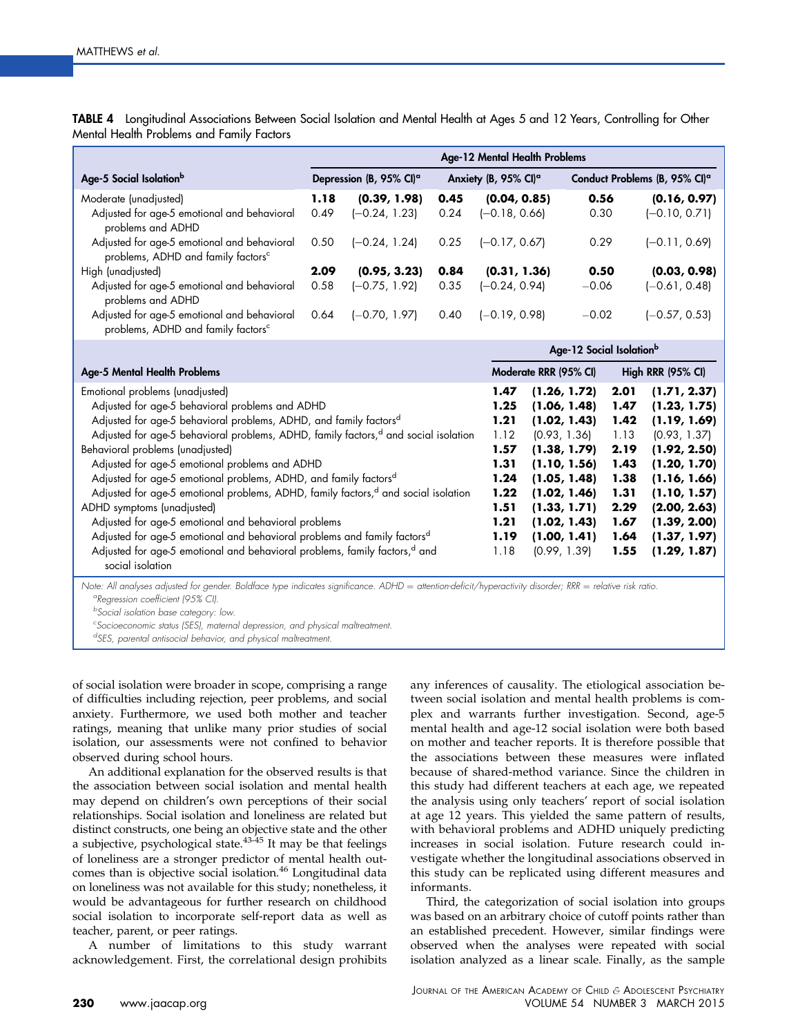|                                                                                                                                                                                                                                                    | Age-12 Mental Health Problems |                                     |      |                                  |                       |                                           |                   |  |  |
|----------------------------------------------------------------------------------------------------------------------------------------------------------------------------------------------------------------------------------------------------|-------------------------------|-------------------------------------|------|----------------------------------|-----------------------|-------------------------------------------|-------------------|--|--|
| Age-5 Social Isolation <sup>b</sup>                                                                                                                                                                                                                |                               | Depression (B, 95% CI) <sup>a</sup> |      | Anxiety (B, 95% CI) <sup>a</sup> |                       | Conduct Problems (B, 95% CI) <sup>a</sup> |                   |  |  |
| Moderate (unadjusted)                                                                                                                                                                                                                              | 1.18                          | (0.39, 1.98)                        | 0.45 | (0.04, 0.85)                     |                       | 0.56                                      | (0.16, 0.97)      |  |  |
| Adjusted for age-5 emotional and behavioral<br>problems and ADHD                                                                                                                                                                                   | 0.49                          | $[-0.24, 1.23]$                     | 0.24 | $[-0.18, 0.66]$                  |                       | 0.30                                      | $[-0.10, 0.71]$   |  |  |
| Adjusted for age-5 emotional and behavioral<br>problems, ADHD and family factors <sup>c</sup>                                                                                                                                                      | 0.50                          | $(-0.24, 1.24)$                     | 0.25 | $(-0.17, 0.67)$                  |                       | 0.29                                      | $[-0.11, 0.69]$   |  |  |
| High (unadjusted)                                                                                                                                                                                                                                  | 2.09                          | (0.95, 3.23)                        | 0.84 | (0.31, 1.36)                     |                       | 0.50                                      | (0.03, 0.98)      |  |  |
| Adjusted for age-5 emotional and behavioral<br>problems and ADHD                                                                                                                                                                                   | 0.58                          | $[-0.75, 1.92]$                     | 0.35 | $[-0.24, 0.94]$                  |                       | $-0.06$                                   | $[-0.61, 0.48]$   |  |  |
| Adjusted for age-5 emotional and behavioral<br>problems, ADHD and family factors <sup>c</sup>                                                                                                                                                      | 0.64                          | $(-0.70, 1.97)$                     | 0.40 | $(-0.19, 0.98)$                  |                       | $-0.02$                                   | $(-0.57, 0.53)$   |  |  |
|                                                                                                                                                                                                                                                    |                               |                                     |      |                                  |                       | Age-12 Social Isolation <sup>b</sup>      |                   |  |  |
| <b>Age-5 Mental Health Problems</b>                                                                                                                                                                                                                |                               |                                     |      |                                  | Moderate RRR (95% CI) |                                           | High RRR (95% CI) |  |  |
| Emotional problems (unadjusted)                                                                                                                                                                                                                    |                               |                                     |      | 1.47                             | (1.26, 1.72)          | 2.01                                      | (1.71, 2.37)      |  |  |
| Adjusted for age-5 behavioral problems and ADHD                                                                                                                                                                                                    |                               |                                     |      | 1.25                             | (1.06, 1.48)          | 1.47                                      | (1.23, 1.75)      |  |  |
| Adjusted for age-5 behavioral problems, ADHD, and family factors <sup>d</sup>                                                                                                                                                                      |                               |                                     |      | 1.21                             | (1.02, 1.43)          | 1.42                                      | (1.19, 1.69)      |  |  |
| Adjusted for age-5 behavioral problems, ADHD, family factors, <sup>d</sup> and social isolation                                                                                                                                                    |                               |                                     |      | 1.12                             | (0.93, 1.36)          | 1.13                                      | (0.93, 1.37)      |  |  |
| Behavioral problems (unadjusted)                                                                                                                                                                                                                   |                               |                                     |      | 1.57                             | (1.38, 1.79)          | 2.19                                      | (1.92, 2.50)      |  |  |
| Adjusted for age-5 emotional problems and ADHD                                                                                                                                                                                                     |                               |                                     |      | 1.31                             | (1.10, 1.56)          | 1.43                                      | (1.20, 1.70)      |  |  |
| Adjusted for age-5 emotional problems, ADHD, and family factors <sup>d</sup>                                                                                                                                                                       |                               |                                     |      | 1.24                             | (1.05, 1.48)          | 1.38                                      | (1.16, 1.66)      |  |  |
| Adjusted for age-5 emotional problems, ADHD, family factors, <sup>d</sup> and social isolation                                                                                                                                                     |                               |                                     |      | 1.22                             | (1.02, 1.46)          | 1.31                                      | (1.10, 1.57)      |  |  |
| ADHD symptoms (unadjusted)                                                                                                                                                                                                                         |                               |                                     |      | 1.51                             | (1.33, 1.71)          | 2.29                                      | (2.00, 2.63)      |  |  |
| Adjusted for age-5 emotional and behavioral problems                                                                                                                                                                                               | 1.21                          | (1.02, 1.43)                        | 1.67 | (1.39, 2.00)                     |                       |                                           |                   |  |  |
| Adjusted for age-5 emotional and behavioral problems and family factors <sup>d</sup>                                                                                                                                                               | 1.19                          | (1.00, 1.41)                        | 1.64 | (1.37, 1.97)                     |                       |                                           |                   |  |  |
| Adjusted for age-5 emotional and behavioral problems, family factors, <sup>d</sup> and<br>social isolation                                                                                                                                         |                               |                                     |      |                                  | (0.99, 1.39)          | 1.55                                      | (1.29, 1.87)      |  |  |
| Note: All analyses adjusted for gender. Boldface type indicates significance. ADHD = attention-deficit/hyperactivity disorder; RRR = relative risk ratio.<br><sup>o</sup> Regression coefficient (95% CI).<br>b Social isolation base category low |                               |                                     |      |                                  |                       |                                           |                   |  |  |

<span id="page-5-0"></span>TABLE 4 Longitudinal Associations Between Social Isolation and Mental Health at Ages 5 and 12 Years, Controlling for Other Mental Health Problems and Family Factors

Social isolation base category: low.

<sup>c</sup>Socioeconomic status (SES), maternal depression, and physical maltreatment.

<sup>d</sup>SES, parental antisocial behavior, and physical maltreatment.

of social isolation were broader in scope, comprising a range of difficulties including rejection, peer problems, and social anxiety. Furthermore, we used both mother and teacher ratings, meaning that unlike many prior studies of social isolation, our assessments were not confined to behavior observed during school hours.

An additional explanation for the observed results is that the association between social isolation and mental health may depend on children's own perceptions of their social relationships. Social isolation and loneliness are related but distinct constructs, one being an objective state and the other a subjective, psychological state.[43-45](#page-7-0) It may be that feelings of loneliness are a stronger predictor of mental health out-comes than is objective social isolation.<sup>[46](#page-7-0)</sup> Longitudinal data on loneliness was not available for this study; nonetheless, it would be advantageous for further research on childhood social isolation to incorporate self-report data as well as teacher, parent, or peer ratings.

A number of limitations to this study warrant acknowledgement. First, the correlational design prohibits any inferences of causality. The etiological association between social isolation and mental health problems is complex and warrants further investigation. Second, age-5 mental health and age-12 social isolation were both based on mother and teacher reports. It is therefore possible that the associations between these measures were inflated because of shared-method variance. Since the children in this study had different teachers at each age, we repeated the analysis using only teachers' report of social isolation at age 12 years. This yielded the same pattern of results, with behavioral problems and ADHD uniquely predicting increases in social isolation. Future research could investigate whether the longitudinal associations observed in this study can be replicated using different measures and informants.

Third, the categorization of social isolation into groups was based on an arbitrary choice of cutoff points rather than an established precedent. However, similar findings were observed when the analyses were repeated with social isolation analyzed as a linear scale. Finally, as the sample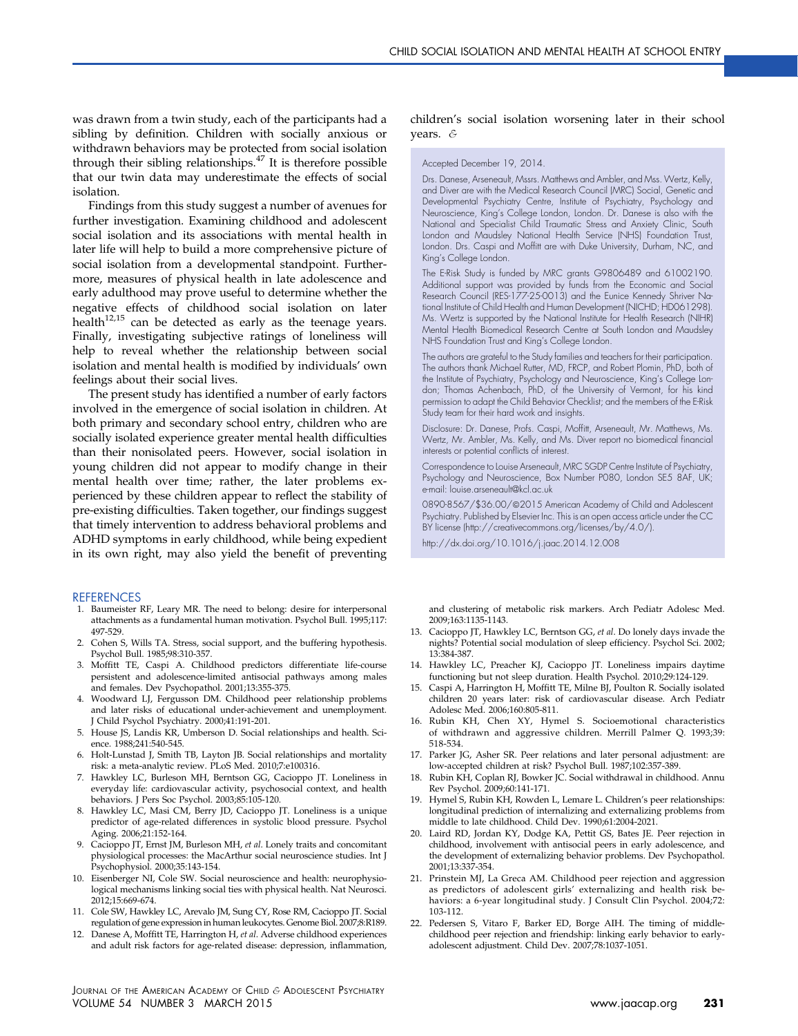<span id="page-6-0"></span>was drawn from a twin study, each of the participants had a sibling by definition. Children with socially anxious or withdrawn behaviors may be protected from social isolation through their sibling relationships. $47$  It is therefore possible that our twin data may underestimate the effects of social isolation.

Findings from this study suggest a number of avenues for further investigation. Examining childhood and adolescent social isolation and its associations with mental health in later life will help to build a more comprehensive picture of social isolation from a developmental standpoint. Furthermore, measures of physical health in late adolescence and early adulthood may prove useful to determine whether the negative effects of childhood social isolation on later health<sup>12,15</sup> can be detected as early as the teenage years. Finally, investigating subjective ratings of loneliness will help to reveal whether the relationship between social isolation and mental health is modified by individuals' own feelings about their social lives.

The present study has identified a number of early factors involved in the emergence of social isolation in children. At both primary and secondary school entry, children who are socially isolated experience greater mental health difficulties than their nonisolated peers. However, social isolation in young children did not appear to modify change in their mental health over time; rather, the later problems experienced by these children appear to reflect the stability of pre-existing difficulties. Taken together, our findings suggest that timely intervention to address behavioral problems and ADHD symptoms in early childhood, while being expedient in its own right, may also yield the benefit of preventing

#### **REFERENCES**

- 1. Baumeister RF, Leary MR. The need to belong: desire for interpersonal attachments as a fundamental human motivation. Psychol Bull. 1995;117: 497-529.
- 2. Cohen S, Wills TA. Stress, social support, and the buffering hypothesis. Psychol Bull. 1985;98:310-357.
- 3. Moffitt TE, Caspi A. Childhood predictors differentiate life-course persistent and adolescence-limited antisocial pathways among males and females. Dev Psychopathol. 2001;13:355-375.
- 4. Woodward LJ, Fergusson DM. Childhood peer relationship problems and later risks of educational under-achievement and unemployment. J Child Psychol Psychiatry. 2000;41:191-201.
- 5. House JS, Landis KR, Umberson D. Social relationships and health. Science. 1988;241:540-545.
- 6. Holt-Lunstad J, Smith TB, Layton JB. Social relationships and mortality risk: a meta-analytic review. PLoS Med. 2010;7:e100316.
- 7. Hawkley LC, Burleson MH, Berntson GG, Cacioppo JT. Loneliness in everyday life: cardiovascular activity, psychosocial context, and health behaviors. J Pers Soc Psychol. 2003;85:105-120.
- 8. Hawkley LC, Masi CM, Berry JD, Cacioppo JT. Loneliness is a unique predictor of age-related differences in systolic blood pressure. Psychol Aging. 2006;21:152-164.
- 9. Cacioppo JT, Ernst JM, Burleson MH, et al. Lonely traits and concomitant physiological processes: the MacArthur social neuroscience studies. Int J Psychophysiol. 2000;35:143-154.
- 10. Eisenberger NI, Cole SW. Social neuroscience and health: neurophysiological mechanisms linking social ties with physical health. Nat Neurosci. 2012;15:669-674.
- 11. Cole SW, Hawkley LC, Arevalo JM, Sung CY, Rose RM, Cacioppo JT. Social regulation of gene expression in human leukocytes. Genome Biol. 2007;8:R189.
- 12. Danese A, Moffitt TE, Harrington H, et al. Adverse childhood experiences and adult risk factors for age-related disease: depression, inflammation,

### children's social isolation worsening later in their school years. &

#### Accepted December 19, 2014.

Drs. Danese, Arseneault, Mssrs. Matthews and Ambler, and Mss. Wertz, Kelly, and Diver are with the Medical Research Council (MRC) Social, Genetic and Developmental Psychiatry Centre, Institute of Psychiatry, Psychology and Neuroscience, King's College London, London. Dr. Danese is also with the National and Specialist Child Traumatic Stress and Anxiety Clinic, South London and Maudsley National Health Service (NHS) Foundation Trust, London. Drs. Caspi and Moffitt are with Duke University, Durham, NC, and King's College London.

The E-Risk Study is funded by MRC grants G9806489 and 61002190. Additional support was provided by funds from the Economic and Social Research Council (RES-177-25-0013) and the Eunice Kennedy Shriver National Institute of Child Health and Human Development (NICHD; HD061298). Ms. Wertz is supported by the National Institute for Health Research (NIHR) Mental Health Biomedical Research Centre at South London and Maudsley NHS Foundation Trust and King's College London.

The authors are grateful to the Study families and teachers for their participation. The authors thank Michael Rutter, MD, FRCP, and Robert Plomin, PhD, both of the Institute of Psychiatry, Psychology and Neuroscience, King's College London; Thomas Achenbach, PhD, of the University of Vermont, for his kind permission to adapt the Child Behavior Checklist; and the members of the E-Risk Study team for their hard work and insights.

Disclosure: Dr. Danese, Profs. Caspi, Moffitt, Arseneault, Mr. Matthews, Ms. Wertz, Mr. Ambler, Ms. Kelly, and Ms. Diver report no biomedical financial interests or potential conflicts of interest.

Correspondence to Louise Arseneault, MRC SGDP Centre Institute of Psychiatry, Psychology and Neuroscience, Box Number P080, London SE5 8AF, UK; e-mail: [louise.arseneault@kcl.ac.uk](mailto:louise.arseneault@kcl.ac.uk)

0890-8567/\$36.00/@2015 American Academy of Child and Adolescent Psychiatry. Published by Elsevier Inc. This is an open access article under the CC BY license [\(http://creativecommons.org/licenses/by/4.0/\).](http://creativecommons.org/licenses/by/4.�0/)

<http://dx.doi.org/10.1016/j.jaac.2014.12.008>

and clustering of metabolic risk markers. Arch Pediatr Adolesc Med. 2009;163:1135-1143.

- 13. Cacioppo JT, Hawkley LC, Berntson GG, et al. Do lonely days invade the nights? Potential social modulation of sleep efficiency. Psychol Sci. 2002; 13:384-387.
- 14. Hawkley LC, Preacher KJ, Cacioppo JT. Loneliness impairs daytime functioning but not sleep duration. Health Psychol. 2010;29:124-129.
- 15. Caspi A, Harrington H, Moffitt TE, Milne BJ, Poulton R. Socially isolated children 20 years later: risk of cardiovascular disease. Arch Pediatr Adolesc Med. 2006;160:805-811.
- 16. Rubin KH, Chen XY, Hymel S. Socioemotional characteristics of withdrawn and aggressive children. Merrill Palmer Q. 1993;39: 518-534.
- 17. Parker JG, Asher SR. Peer relations and later personal adjustment: are low-accepted children at risk? Psychol Bull. 1987;102:357-389.
- 18. Rubin KH, Coplan RJ, Bowker JC. Social withdrawal in childhood. Annu Rev Psychol. 2009;60:141-171.
- 19. Hymel S, Rubin KH, Rowden L, Lemare L. Children's peer relationships: longitudinal prediction of internalizing and externalizing problems from middle to late childhood. Child Dev. 1990;61:2004-2021.
- 20. Laird RD, Jordan KY, Dodge KA, Pettit GS, Bates JE. Peer rejection in childhood, involvement with antisocial peers in early adolescence, and the development of externalizing behavior problems. Dev Psychopathol. 2001;13:337-354.
- 21. Prinstein MJ, La Greca AM. Childhood peer rejection and aggression as predictors of adolescent girls' externalizing and health risk behaviors: a 6-year longitudinal study. J Consult Clin Psychol. 2004;72: 103-112.
- 22. Pedersen S, Vitaro F, Barker ED, Borge AIH. The timing of middlechildhood peer rejection and friendship: linking early behavior to earlyadolescent adjustment. Child Dev. 2007;78:1037-1051.